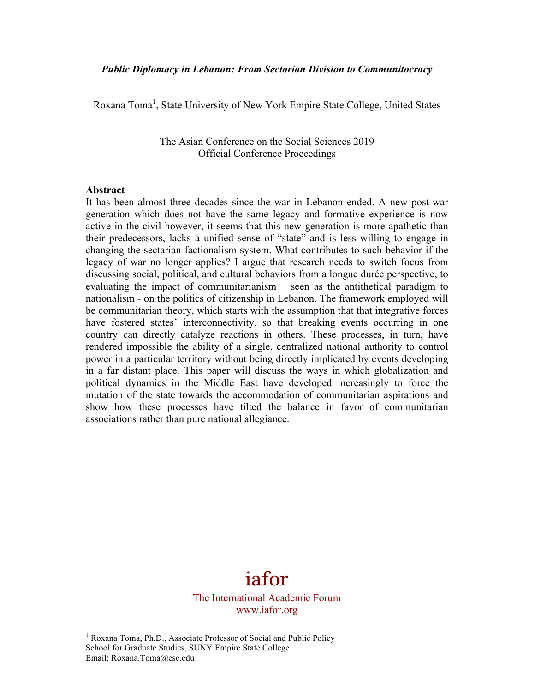# *Public Diplomacy in Lebanon: From Sectarian Division to Communitocracy*

Roxana Toma<sup>1</sup>, State University of New York Empire State College, United States

The Asian Conference on the Social Sciences 2019 Official Conference Proceedings

#### **Abstract**

It has been almost three decades since the war in Lebanon ended. A new post-war generation which does not have the same legacy and formative experience is now active in the civil however, it seems that this new generation is more apathetic than their predecessors, lacks a unified sense of "state" and is less willing to engage in changing the sectarian factionalism system. What contributes to such behavior if the legacy of war no longer applies? I argue that research needs to switch focus from discussing social, political, and cultural behaviors from a longue durée perspective, to evaluating the impact of communitarianism – seen as the antithetical paradigm to nationalism - on the politics of citizenship in Lebanon. The framework employed will be communitarian theory, which starts with the assumption that that integrative forces have fostered states' interconnectivity, so that breaking events occurring in one country can directly catalyze reactions in others. These processes, in turn, have rendered impossible the ability of a single, centralized national authority to control power in a particular territory without being directly implicated by events developing in a far distant place. This paper will discuss the ways in which globalization and political dynamics in the Middle East have developed increasingly to force the mutation of the state towards the accommodation of communitarian aspirations and show how these processes have tilted the balance in favor of communitarian associations rather than pure national allegiance.



<sup>&</sup>lt;sup>1</sup> Roxana Toma, Ph.D., Associate Professor of Social and Public Policy School for Graduate Studies, SUNY Empire State College Email: Roxana.Toma@esc.edu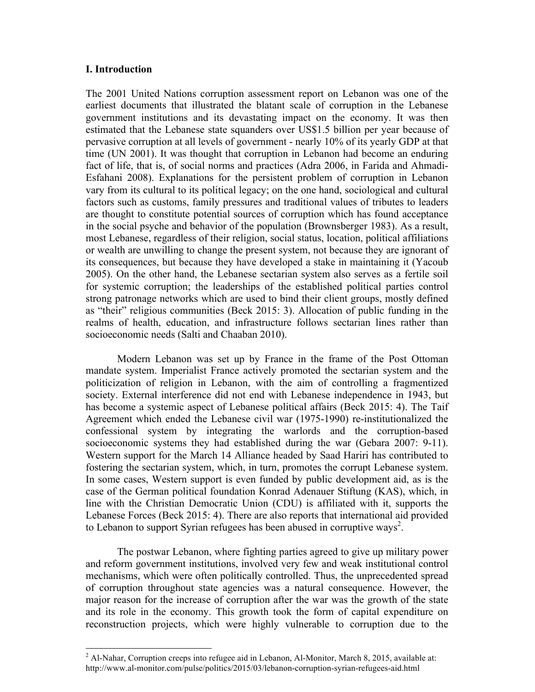# **I. Introduction**

The 2001 United Nations corruption assessment report on Lebanon was one of the earliest documents that illustrated the blatant scale of corruption in the Lebanese government institutions and its devastating impact on the economy. It was then estimated that the Lebanese state squanders over US\$1.5 billion per year because of pervasive corruption at all levels of government - nearly 10% of its yearly GDP at that time (UN 2001). It was thought that corruption in Lebanon had become an enduring fact of life, that is, of social norms and practices (Adra 2006, in Farida and Ahmadi-Esfahani 2008). Explanations for the persistent problem of corruption in Lebanon vary from its cultural to its political legacy; on the one hand, sociological and cultural factors such as customs, family pressures and traditional values of tributes to leaders are thought to constitute potential sources of corruption which has found acceptance in the social psyche and behavior of the population (Brownsberger 1983). As a result, most Lebanese, regardless of their religion, social status, location, political affiliations or wealth are unwilling to change the present system, not because they are ignorant of its consequences, but because they have developed a stake in maintaining it (Yacoub 2005). On the other hand, the Lebanese sectarian system also serves as a fertile soil for systemic corruption; the leaderships of the established political parties control strong patronage networks which are used to bind their client groups, mostly defined as "their" religious communities (Beck 2015: 3). Allocation of public funding in the realms of health, education, and infrastructure follows sectarian lines rather than socioeconomic needs (Salti and Chaaban 2010).

Modern Lebanon was set up by France in the frame of the Post Ottoman mandate system. Imperialist France actively promoted the sectarian system and the politicization of religion in Lebanon, with the aim of controlling a fragmentized society. External interference did not end with Lebanese independence in 1943, but has become a systemic aspect of Lebanese political affairs (Beck 2015: 4). The Taif Agreement which ended the Lebanese civil war (1975-1990) re-institutionalized the confessional system by integrating the warlords and the corruption-based socioeconomic systems they had established during the war (Gebara 2007: 9-11). Western support for the March 14 Alliance headed by Saad Hariri has contributed to fostering the sectarian system, which, in turn, promotes the corrupt Lebanese system. In some cases, Western support is even funded by public development aid, as is the case of the German political foundation Konrad Adenauer Stiftung (KAS), which, in line with the Christian Democratic Union (CDU) is affiliated with it, supports the Lebanese Forces (Beck 2015: 4). There are also reports that international aid provided to Lebanon to support Syrian refugees has been abused in corruptive ways<sup>2</sup>.

The postwar Lebanon, where fighting parties agreed to give up military power and reform government institutions, involved very few and weak institutional control mechanisms, which were often politically controlled. Thus, the unprecedented spread of corruption throughout state agencies was a natural consequence. However, the major reason for the increase of corruption after the war was the growth of the state and its role in the economy. This growth took the form of capital expenditure on reconstruction projects, which were highly vulnerable to corruption due to the

 $2$  Al-Nahar, Corruption creeps into refugee aid in Lebanon, Al-Monitor, March 8, 2015, available at: http://www.al-monitor.com/pulse/politics/2015/03/lebanon-corruption-syrian-refugees-aid.html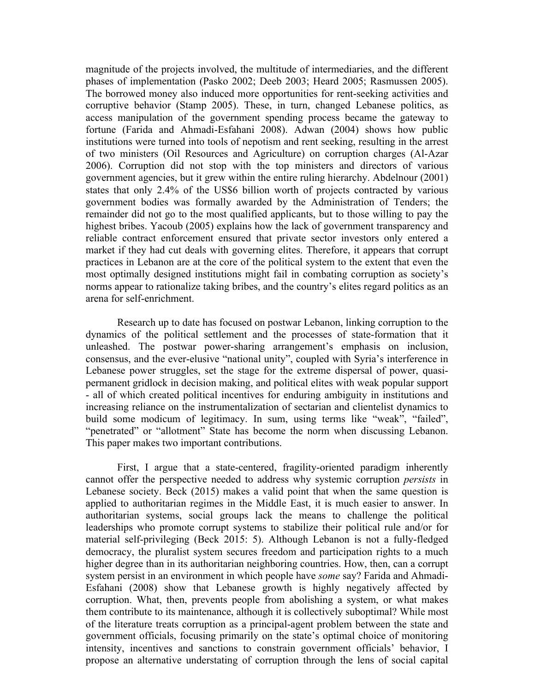magnitude of the projects involved, the multitude of intermediaries, and the different phases of implementation (Pasko 2002; Deeb 2003; Heard 2005; Rasmussen 2005). The borrowed money also induced more opportunities for rent-seeking activities and corruptive behavior (Stamp 2005). These, in turn, changed Lebanese politics, as access manipulation of the government spending process became the gateway to fortune (Farida and Ahmadi-Esfahani 2008). Adwan (2004) shows how public institutions were turned into tools of nepotism and rent seeking, resulting in the arrest of two ministers (Oil Resources and Agriculture) on corruption charges (Al-Azar 2006). Corruption did not stop with the top ministers and directors of various government agencies, but it grew within the entire ruling hierarchy. Abdelnour (2001) states that only 2.4% of the US\$6 billion worth of projects contracted by various government bodies was formally awarded by the Administration of Tenders; the remainder did not go to the most qualified applicants, but to those willing to pay the highest bribes. Yacoub (2005) explains how the lack of government transparency and reliable contract enforcement ensured that private sector investors only entered a market if they had cut deals with governing elites. Therefore, it appears that corrupt practices in Lebanon are at the core of the political system to the extent that even the most optimally designed institutions might fail in combating corruption as society's norms appear to rationalize taking bribes, and the country's elites regard politics as an arena for self-enrichment.

Research up to date has focused on postwar Lebanon, linking corruption to the dynamics of the political settlement and the processes of state-formation that it unleashed. The postwar power-sharing arrangement's emphasis on inclusion, consensus, and the ever-elusive "national unity", coupled with Syria's interference in Lebanese power struggles, set the stage for the extreme dispersal of power, quasipermanent gridlock in decision making, and political elites with weak popular support - all of which created political incentives for enduring ambiguity in institutions and increasing reliance on the instrumentalization of sectarian and clientelist dynamics to build some modicum of legitimacy. In sum, using terms like "weak", "failed", "penetrated" or "allotment" State has become the norm when discussing Lebanon. This paper makes two important contributions.

First, I argue that a state-centered, fragility-oriented paradigm inherently cannot offer the perspective needed to address why systemic corruption *persists* in Lebanese society. Beck (2015) makes a valid point that when the same question is applied to authoritarian regimes in the Middle East, it is much easier to answer. In authoritarian systems, social groups lack the means to challenge the political leaderships who promote corrupt systems to stabilize their political rule and/or for material self-privileging (Beck 2015: 5). Although Lebanon is not a fully-fledged democracy, the pluralist system secures freedom and participation rights to a much higher degree than in its authoritarian neighboring countries. How, then, can a corrupt system persist in an environment in which people have *some* say? Farida and Ahmadi-Esfahani (2008) show that Lebanese growth is highly negatively affected by corruption. What, then, prevents people from abolishing a system, or what makes them contribute to its maintenance, although it is collectively suboptimal? While most of the literature treats corruption as a principal-agent problem between the state and government officials, focusing primarily on the state's optimal choice of monitoring intensity, incentives and sanctions to constrain government officials' behavior, I propose an alternative understating of corruption through the lens of social capital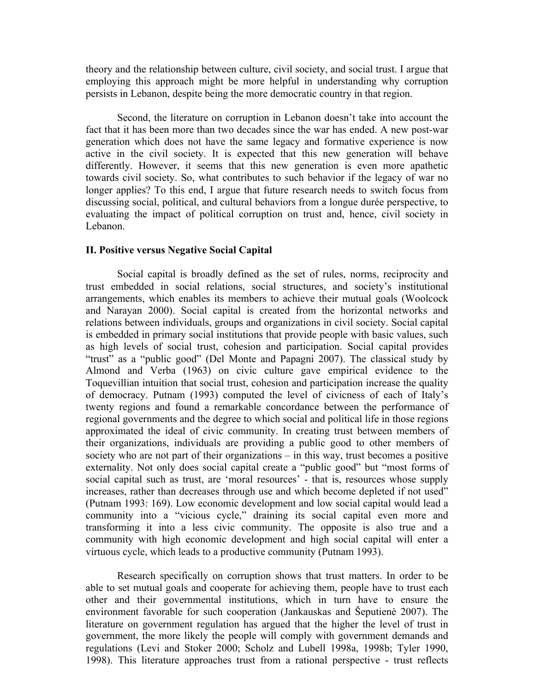theory and the relationship between culture, civil society, and social trust. I argue that employing this approach might be more helpful in understanding why corruption persists in Lebanon, despite being the more democratic country in that region.

Second, the literature on corruption in Lebanon doesn't take into account the fact that it has been more than two decades since the war has ended. A new post-war generation which does not have the same legacy and formative experience is now active in the civil society. It is expected that this new generation will behave differently. However, it seems that this new generation is even more apathetic towards civil society. So, what contributes to such behavior if the legacy of war no longer applies? To this end, I argue that future research needs to switch focus from discussing social, political, and cultural behaviors from a longue durée perspective, to evaluating the impact of political corruption on trust and, hence, civil society in Lebanon.

### **II. Positive versus Negative Social Capital**

Social capital is broadly defined as the set of rules, norms, reciprocity and trust embedded in social relations, social structures, and society's institutional arrangements, which enables its members to achieve their mutual goals (Woolcock and Narayan 2000). Social capital is created from the horizontal networks and relations between individuals, groups and organizations in civil society. Social capital is embedded in primary social institutions that provide people with basic values, such as high levels of social trust, cohesion and participation. Social capital provides "trust" as a "public good" (Del Monte and Papagni 2007). The classical study by Almond and Verba (1963) on civic culture gave empirical evidence to the Toquevillian intuition that social trust, cohesion and participation increase the quality of democracy. Putnam (1993) computed the level of civicness of each of Italy's twenty regions and found a remarkable concordance between the performance of regional governments and the degree to which social and political life in those regions approximated the ideal of civic community. In creating trust between members of their organizations, individuals are providing a public good to other members of society who are not part of their organizations – in this way, trust becomes a positive externality. Not only does social capital create a "public good" but "most forms of social capital such as trust, are 'moral resources' - that is, resources whose supply increases, rather than decreases through use and which become depleted if not used" (Putnam 1993: 169). Low economic development and low social capital would lead a community into a "vicious cycle," draining its social capital even more and transforming it into a less civic community. The opposite is also true and a community with high economic development and high social capital will enter a virtuous cycle, which leads to a productive community (Putnam 1993).

Research specifically on corruption shows that trust matters. In order to be able to set mutual goals and cooperate for achieving them, people have to trust each other and their governmental institutions, which in turn have to ensure the environment favorable for such cooperation (Jankauskas and Šeputienė 2007). The literature on government regulation has argued that the higher the level of trust in government, the more likely the people will comply with government demands and regulations (Levi and Stoker 2000; Scholz and Lubell 1998a, 1998b; Tyler 1990, 1998). This literature approaches trust from a rational perspective - trust reflects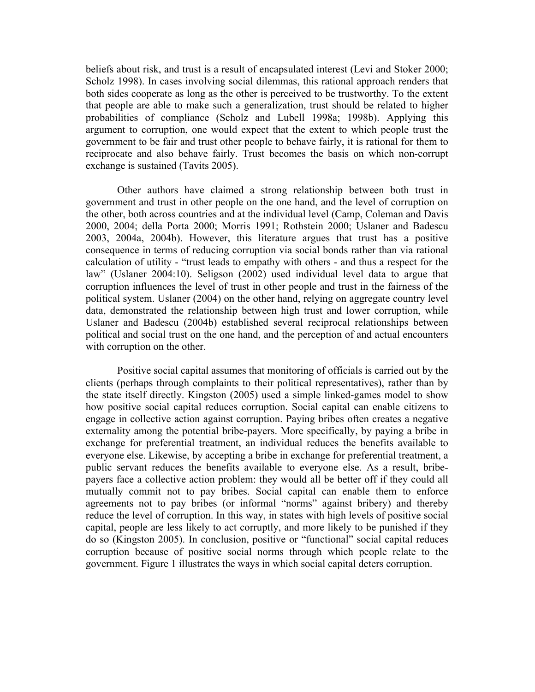beliefs about risk, and trust is a result of encapsulated interest (Levi and Stoker 2000; Scholz 1998). In cases involving social dilemmas, this rational approach renders that both sides cooperate as long as the other is perceived to be trustworthy. To the extent that people are able to make such a generalization, trust should be related to higher probabilities of compliance (Scholz and Lubell 1998a; 1998b). Applying this argument to corruption, one would expect that the extent to which people trust the government to be fair and trust other people to behave fairly, it is rational for them to reciprocate and also behave fairly. Trust becomes the basis on which non-corrupt exchange is sustained (Tavits 2005).

Other authors have claimed a strong relationship between both trust in government and trust in other people on the one hand, and the level of corruption on the other, both across countries and at the individual level (Camp, Coleman and Davis 2000, 2004; della Porta 2000; Morris 1991; Rothstein 2000; Uslaner and Badescu 2003, 2004a, 2004b). However, this literature argues that trust has a positive consequence in terms of reducing corruption via social bonds rather than via rational calculation of utility - "trust leads to empathy with others - and thus a respect for the law" (Uslaner 2004:10). Seligson (2002) used individual level data to argue that corruption influences the level of trust in other people and trust in the fairness of the political system. Uslaner (2004) on the other hand, relying on aggregate country level data, demonstrated the relationship between high trust and lower corruption, while Uslaner and Badescu (2004b) established several reciprocal relationships between political and social trust on the one hand, and the perception of and actual encounters with corruption on the other.

Positive social capital assumes that monitoring of officials is carried out by the clients (perhaps through complaints to their political representatives), rather than by the state itself directly. Kingston (2005) used a simple linked-games model to show how positive social capital reduces corruption. Social capital can enable citizens to engage in collective action against corruption. Paying bribes often creates a negative externality among the potential bribe-payers. More specifically, by paying a bribe in exchange for preferential treatment, an individual reduces the benefits available to everyone else. Likewise, by accepting a bribe in exchange for preferential treatment, a public servant reduces the benefits available to everyone else. As a result, bribepayers face a collective action problem: they would all be better off if they could all mutually commit not to pay bribes. Social capital can enable them to enforce agreements not to pay bribes (or informal "norms" against bribery) and thereby reduce the level of corruption. In this way, in states with high levels of positive social capital, people are less likely to act corruptly, and more likely to be punished if they do so (Kingston 2005). In conclusion, positive or "functional" social capital reduces corruption because of positive social norms through which people relate to the government. Figure 1 illustrates the ways in which social capital deters corruption.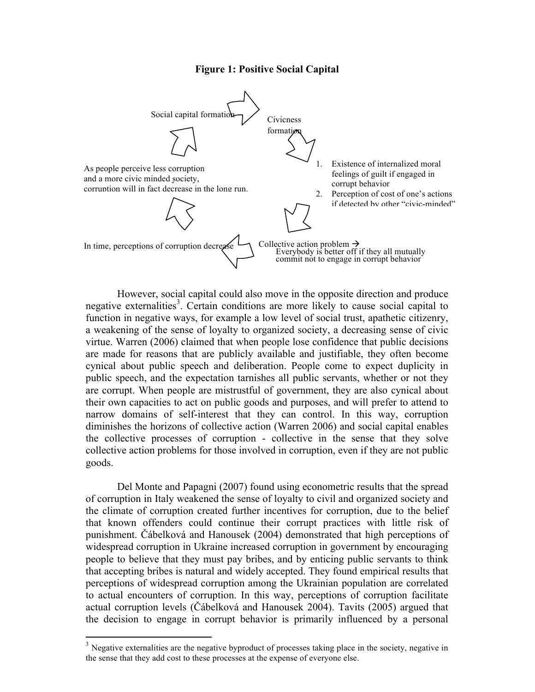## **Figure 1: Positive Social Capital**



However, social capital could also move in the opposite direction and produce negative externalities<sup>3</sup>. Certain conditions are more likely to cause social capital to function in negative ways, for example a low level of social trust, apathetic citizenry, a weakening of the sense of loyalty to organized society, a decreasing sense of civic virtue. Warren (2006) claimed that when people lose confidence that public decisions are made for reasons that are publicly available and justifiable, they often become cynical about public speech and deliberation. People come to expect duplicity in public speech, and the expectation tarnishes all public servants, whether or not they are corrupt. When people are mistrustful of government, they are also cynical about their own capacities to act on public goods and purposes, and will prefer to attend to narrow domains of self-interest that they can control. In this way, corruption diminishes the horizons of collective action (Warren 2006) and social capital enables the collective processes of corruption - collective in the sense that they solve collective action problems for those involved in corruption, even if they are not public goods.

Del Monte and Papagni (2007) found using econometric results that the spread of corruption in Italy weakened the sense of loyalty to civil and organized society and the climate of corruption created further incentives for corruption, due to the belief that known offenders could continue their corrupt practices with little risk of punishment. Čábelková and Hanousek (2004) demonstrated that high perceptions of widespread corruption in Ukraine increased corruption in government by encouraging people to believe that they must pay bribes, and by enticing public servants to think that accepting bribes is natural and widely accepted. They found empirical results that perceptions of widespread corruption among the Ukrainian population are correlated to actual encounters of corruption. In this way, perceptions of corruption facilitate actual corruption levels (Čábelková and Hanousek 2004). Tavits (2005) argued that the decision to engage in corrupt behavior is primarily influenced by a personal

<sup>&</sup>lt;sup>3</sup> Negative externalities are the negative byproduct of processes taking place in the society, negative in the sense that they add cost to these processes at the expense of everyone else.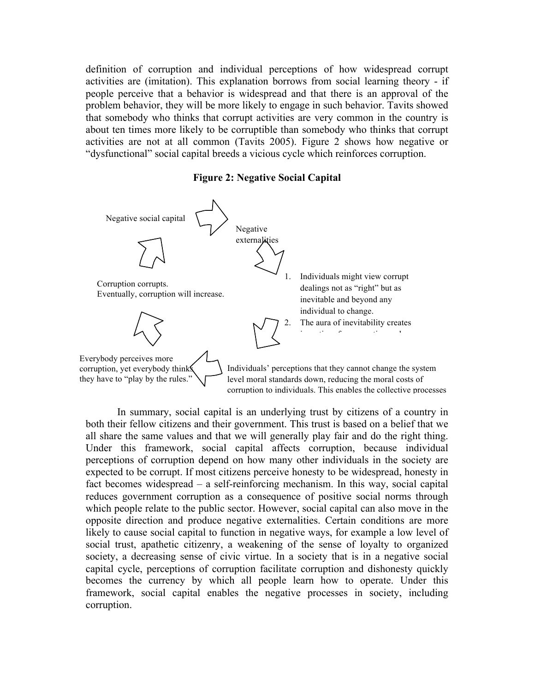definition of corruption and individual perceptions of how widespread corrupt activities are (imitation). This explanation borrows from social learning theory - if people perceive that a behavior is widespread and that there is an approval of the problem behavior, they will be more likely to engage in such behavior. Tavits showed that somebody who thinks that corrupt activities are very common in the country is about ten times more likely to be corruptible than somebody who thinks that corrupt activities are not at all common (Tavits 2005). Figure 2 shows how negative or "dysfunctional" social capital breeds a vicious cycle which reinforces corruption.

#### **Figure 2: Negative Social Capital**



In summary, social capital is an underlying trust by citizens of a country in both their fellow citizens and their government. This trust is based on a belief that we all share the same values and that we will generally play fair and do the right thing. Under this framework, social capital affects corruption, because individual perceptions of corruption depend on how many other individuals in the society are expected to be corrupt. If most citizens perceive honesty to be widespread, honesty in fact becomes widespread – a self-reinforcing mechanism. In this way, social capital reduces government corruption as a consequence of positive social norms through which people relate to the public sector. However, social capital can also move in the opposite direction and produce negative externalities. Certain conditions are more likely to cause social capital to function in negative ways, for example a low level of social trust, apathetic citizenry, a weakening of the sense of loyalty to organized society, a decreasing sense of civic virtue. In a society that is in a negative social capital cycle, perceptions of corruption facilitate corruption and dishonesty quickly becomes the currency by which all people learn how to operate. Under this framework, social capital enables the negative processes in society, including corruption.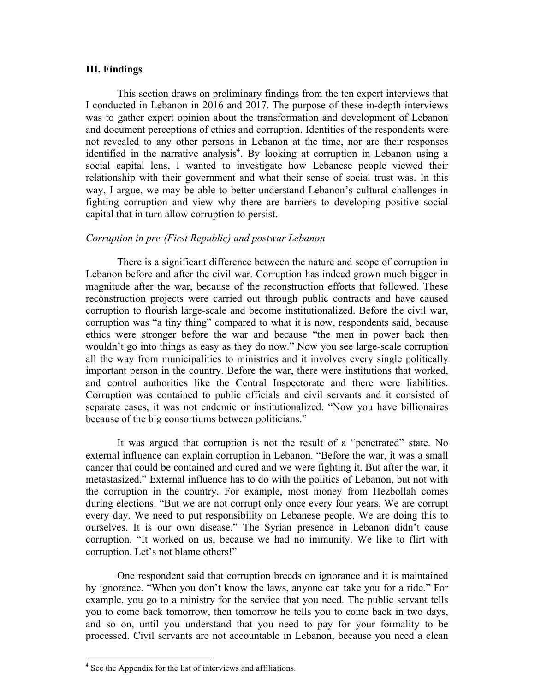### **III. Findings**

This section draws on preliminary findings from the ten expert interviews that I conducted in Lebanon in 2016 and 2017. The purpose of these in-depth interviews was to gather expert opinion about the transformation and development of Lebanon and document perceptions of ethics and corruption. Identities of the respondents were not revealed to any other persons in Lebanon at the time, nor are their responses identified in the narrative analysis<sup>4</sup>. By looking at corruption in Lebanon using a social capital lens, I wanted to investigate how Lebanese people viewed their relationship with their government and what their sense of social trust was. In this way, I argue, we may be able to better understand Lebanon's cultural challenges in fighting corruption and view why there are barriers to developing positive social capital that in turn allow corruption to persist.

#### *Corruption in pre-(First Republic) and postwar Lebanon*

There is a significant difference between the nature and scope of corruption in Lebanon before and after the civil war. Corruption has indeed grown much bigger in magnitude after the war, because of the reconstruction efforts that followed. These reconstruction projects were carried out through public contracts and have caused corruption to flourish large-scale and become institutionalized. Before the civil war, corruption was "a tiny thing" compared to what it is now, respondents said, because ethics were stronger before the war and because "the men in power back then wouldn't go into things as easy as they do now." Now you see large-scale corruption all the way from municipalities to ministries and it involves every single politically important person in the country. Before the war, there were institutions that worked, and control authorities like the Central Inspectorate and there were liabilities. Corruption was contained to public officials and civil servants and it consisted of separate cases, it was not endemic or institutionalized. "Now you have billionaires because of the big consortiums between politicians."

It was argued that corruption is not the result of a "penetrated" state. No external influence can explain corruption in Lebanon. "Before the war, it was a small cancer that could be contained and cured and we were fighting it. But after the war, it metastasized." External influence has to do with the politics of Lebanon, but not with the corruption in the country. For example, most money from Hezbollah comes during elections. "But we are not corrupt only once every four years. We are corrupt every day. We need to put responsibility on Lebanese people. We are doing this to ourselves. It is our own disease." The Syrian presence in Lebanon didn't cause corruption. "It worked on us, because we had no immunity. We like to flirt with corruption. Let's not blame others!"

One respondent said that corruption breeds on ignorance and it is maintained by ignorance. "When you don't know the laws, anyone can take you for a ride." For example, you go to a ministry for the service that you need. The public servant tells you to come back tomorrow, then tomorrow he tells you to come back in two days, and so on, until you understand that you need to pay for your formality to be processed. Civil servants are not accountable in Lebanon, because you need a clean

<sup>&</sup>lt;sup>4</sup> See the Appendix for the list of interviews and affiliations.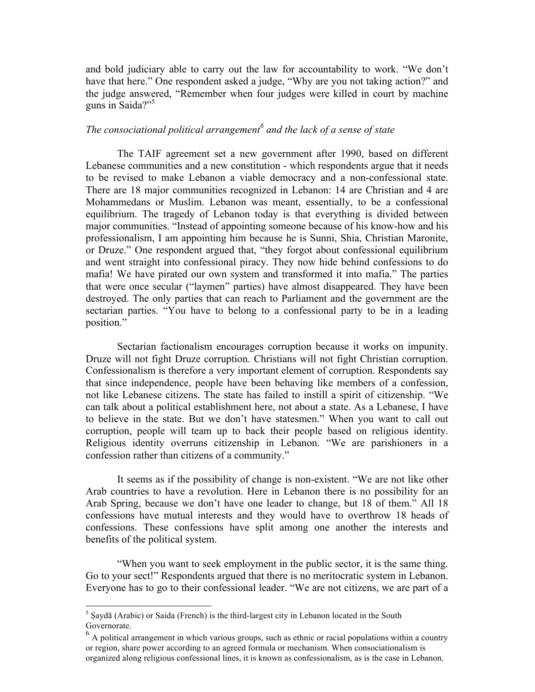and bold judiciary able to carry out the law for accountability to work. "We don't have that here." One respondent asked a judge, "Why are you not taking action?" and the judge answered, "Remember when four judges were killed in court by machine guns in Saida?"<sup>5</sup>

# *The consociational political arrangement<sup>6</sup> and the lack of a sense of state*

The TAIF agreement set a new government after 1990, based on different Lebanese communities and a new constitution - which respondents argue that it needs to be revised to make Lebanon a viable democracy and a non-confessional state. There are 18 major communities recognized in Lebanon: 14 are Christian and 4 are Mohammedans or Muslim. Lebanon was meant, essentially, to be a confessional equilibrium. The tragedy of Lebanon today is that everything is divided between major communities. "Instead of appointing someone because of his know-how and his professionalism, I am appointing him because he is Sunni, Shia, Christian Maronite, or Druze." One respondent argued that, "they forgot about confessional equilibrium and went straight into confessional piracy. They now hide behind confessions to do mafia! We have pirated our own system and transformed it into mafia." The parties that were once secular ("laymen" parties) have almost disappeared. They have been destroyed. The only parties that can reach to Parliament and the government are the sectarian parties. "You have to belong to a confessional party to be in a leading position."

Sectarian factionalism encourages corruption because it works on impunity. Druze will not fight Druze corruption. Christians will not fight Christian corruption. Confessionalism is therefore a very important element of corruption. Respondents say that since independence, people have been behaving like members of a confession, not like Lebanese citizens. The state has failed to instill a spirit of citizenship. "We can talk about a political establishment here, not about a state. As a Lebanese, I have to believe in the state. But we don't have statesmen." When you want to call out corruption, people will team up to back their people based on religious identity. Religious identity overruns citizenship in Lebanon. "We are parishioners in a confession rather than citizens of a community."

It seems as if the possibility of change is non-existent. "We are not like other Arab countries to have a revolution. Here in Lebanon there is no possibility for an Arab Spring, because we don't have one leader to change, but 18 of them." All 18 confessions have mutual interests and they would have to overthrow 18 heads of confessions. These confessions have split among one another the interests and benefits of the political system.

"When you want to seek employment in the public sector, it is the same thing. Go to your sect!" Respondents argued that there is no meritocratic system in Lebanon. Everyone has to go to their confessional leader. "We are not citizens, we are part of a

<sup>&</sup>lt;sup>5</sup> Saydā (Arabic) or Saida (French) is the third-largest city in Lebanon located in the South Governorate.

 $<sup>6</sup>$  A political arrangement in which various groups, such as ethnic or racial populations within a country</sup> or region, share power according to an agreed formula or mechanism. When consociationalism is organized along religious confessional lines, it is known as confessionalism, as is the case in Lebanon.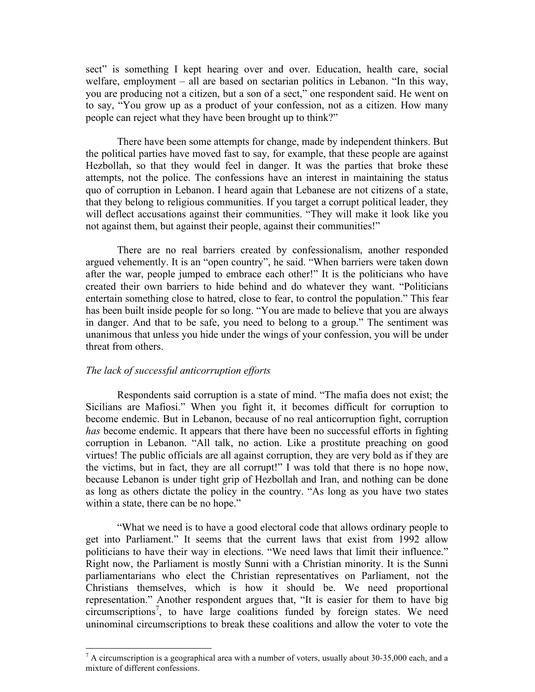sect" is something I kept hearing over and over. Education, health care, social welfare, employment – all are based on sectarian politics in Lebanon. "In this way, you are producing not a citizen, but a son of a sect," one respondent said. He went on to say, "You grow up as a product of your confession, not as a citizen. How many people can reject what they have been brought up to think?"

There have been some attempts for change, made by independent thinkers. But the political parties have moved fast to say, for example, that these people are against Hezbollah, so that they would feel in danger. It was the parties that broke these attempts, not the police. The confessions have an interest in maintaining the status quo of corruption in Lebanon. I heard again that Lebanese are not citizens of a state, that they belong to religious communities. If you target a corrupt political leader, they will deflect accusations against their communities. "They will make it look like you not against them, but against their people, against their communities!"

There are no real barriers created by confessionalism, another responded argued vehemently. It is an "open country", he said. "When barriers were taken down after the war, people jumped to embrace each other!" It is the politicians who have created their own barriers to hide behind and do whatever they want. "Politicians entertain something close to hatred, close to fear, to control the population." This fear has been built inside people for so long. "You are made to believe that you are always in danger. And that to be safe, you need to belong to a group." The sentiment was unanimous that unless you hide under the wings of your confession, you will be under threat from others.

### *The lack of successful anticorruption efforts*

 

Respondents said corruption is a state of mind. "The mafia does not exist; the Sicilians are Mafiosi." When you fight it, it becomes difficult for corruption to become endemic. But in Lebanon, because of no real anticorruption fight, corruption *has* become endemic. It appears that there have been no successful efforts in fighting corruption in Lebanon. "All talk, no action. Like a prostitute preaching on good virtues! The public officials are all against corruption, they are very bold as if they are the victims, but in fact, they are all corrupt!" I was told that there is no hope now, because Lebanon is under tight grip of Hezbollah and Iran, and nothing can be done as long as others dictate the policy in the country. "As long as you have two states within a state, there can be no hope."

"What we need is to have a good electoral code that allows ordinary people to get into Parliament." It seems that the current laws that exist from 1992 allow politicians to have their way in elections. "We need laws that limit their influence." Right now, the Parliament is mostly Sunni with a Christian minority. It is the Sunni parliamentarians who elect the Christian representatives on Parliament, not the Christians themselves, which is how it should be. We need proportional representation." Another respondent argues that, "It is easier for them to have big circumscriptions<sup>7</sup>, to have large coalitions funded by foreign states. We need uninominal circumscriptions to break these coalitions and allow the voter to vote the

 $<sup>7</sup>$  A circumscription is a geographical area with a number of voters, usually about 30-35,000 each, and a</sup> mixture of different confessions.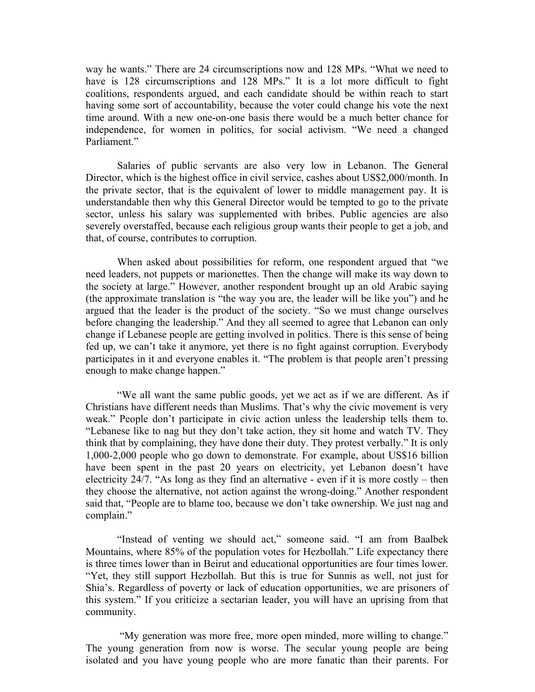way he wants." There are 24 circumscriptions now and 128 MPs. "What we need to have is 128 circumscriptions and 128 MPs." It is a lot more difficult to fight coalitions, respondents argued, and each candidate should be within reach to start having some sort of accountability, because the voter could change his vote the next time around. With a new one-on-one basis there would be a much better chance for independence, for women in politics, for social activism. "We need a changed Parliament<sup>"</sup>

Salaries of public servants are also very low in Lebanon. The General Director, which is the highest office in civil service, cashes about US\$2,000/month. In the private sector, that is the equivalent of lower to middle management pay. It is understandable then why this General Director would be tempted to go to the private sector, unless his salary was supplemented with bribes. Public agencies are also severely overstaffed, because each religious group wants their people to get a job, and that, of course, contributes to corruption.

When asked about possibilities for reform, one respondent argued that "we need leaders, not puppets or marionettes. Then the change will make its way down to the society at large." However, another respondent brought up an old Arabic saying (the approximate translation is "the way you are, the leader will be like you") and he argued that the leader is the product of the society. "So we must change ourselves before changing the leadership." And they all seemed to agree that Lebanon can only change if Lebanese people are getting involved in politics. There is this sense of being fed up, we can't take it anymore, yet there is no fight against corruption. Everybody participates in it and everyone enables it. "The problem is that people aren't pressing enough to make change happen."

"We all want the same public goods, yet we act as if we are different. As if Christians have different needs than Muslims. That's why the civic movement is very weak." People don't participate in civic action unless the leadership tells them to. "Lebanese like to nag but they don't take action, they sit home and watch TV. They think that by complaining, they have done their duty. They protest verbally." It is only 1,000-2,000 people who go down to demonstrate. For example, about US\$16 billion have been spent in the past 20 years on electricity, yet Lebanon doesn't have electricity 24/7. "As long as they find an alternative - even if it is more costly – then they choose the alternative, not action against the wrong-doing." Another respondent said that, "People are to blame too, because we don't take ownership. We just nag and complain."

"Instead of venting we should act," someone said. "I am from Baalbek Mountains, where 85% of the population votes for Hezbollah." Life expectancy there is three times lower than in Beirut and educational opportunities are four times lower. "Yet, they still support Hezbollah. But this is true for Sunnis as well, not just for Shia's. Regardless of poverty or lack of education opportunities, we are prisoners of this system." If you criticize a sectarian leader, you will have an uprising from that community.

"My generation was more free, more open minded, more willing to change." The young generation from now is worse. The secular young people are being isolated and you have young people who are more fanatic than their parents. For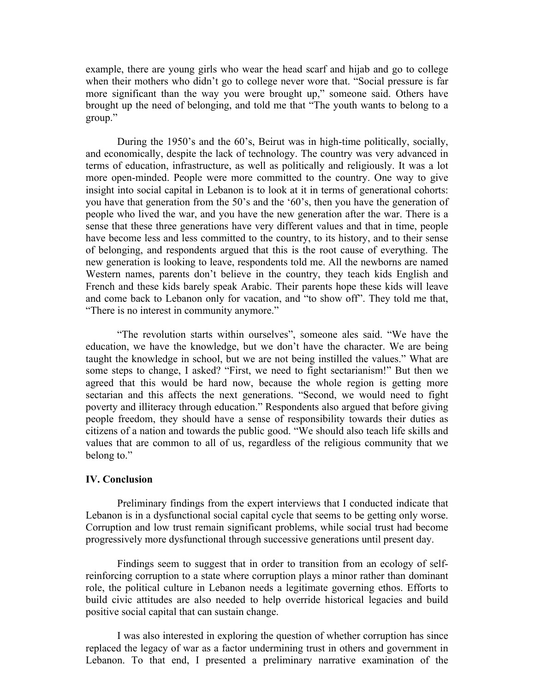example, there are young girls who wear the head scarf and hijab and go to college when their mothers who didn't go to college never wore that. "Social pressure is far more significant than the way you were brought up," someone said. Others have brought up the need of belonging, and told me that "The youth wants to belong to a group."

During the 1950's and the 60's, Beirut was in high-time politically, socially, and economically, despite the lack of technology. The country was very advanced in terms of education, infrastructure, as well as politically and religiously. It was a lot more open-minded. People were more committed to the country. One way to give insight into social capital in Lebanon is to look at it in terms of generational cohorts: you have that generation from the 50's and the '60's, then you have the generation of people who lived the war, and you have the new generation after the war. There is a sense that these three generations have very different values and that in time, people have become less and less committed to the country, to its history, and to their sense of belonging, and respondents argued that this is the root cause of everything. The new generation is looking to leave, respondents told me. All the newborns are named Western names, parents don't believe in the country, they teach kids English and French and these kids barely speak Arabic. Their parents hope these kids will leave and come back to Lebanon only for vacation, and "to show off". They told me that, "There is no interest in community anymore."

"The revolution starts within ourselves", someone ales said. "We have the education, we have the knowledge, but we don't have the character. We are being taught the knowledge in school, but we are not being instilled the values." What are some steps to change, I asked? "First, we need to fight sectarianism!" But then we agreed that this would be hard now, because the whole region is getting more sectarian and this affects the next generations. "Second, we would need to fight poverty and illiteracy through education." Respondents also argued that before giving people freedom, they should have a sense of responsibility towards their duties as citizens of a nation and towards the public good. "We should also teach life skills and values that are common to all of us, regardless of the religious community that we belong to."

#### **IV. Conclusion**

Preliminary findings from the expert interviews that I conducted indicate that Lebanon is in a dysfunctional social capital cycle that seems to be getting only worse. Corruption and low trust remain significant problems, while social trust had become progressively more dysfunctional through successive generations until present day.

Findings seem to suggest that in order to transition from an ecology of selfreinforcing corruption to a state where corruption plays a minor rather than dominant role, the political culture in Lebanon needs a legitimate governing ethos. Efforts to build civic attitudes are also needed to help override historical legacies and build positive social capital that can sustain change.

I was also interested in exploring the question of whether corruption has since replaced the legacy of war as a factor undermining trust in others and government in Lebanon. To that end, I presented a preliminary narrative examination of the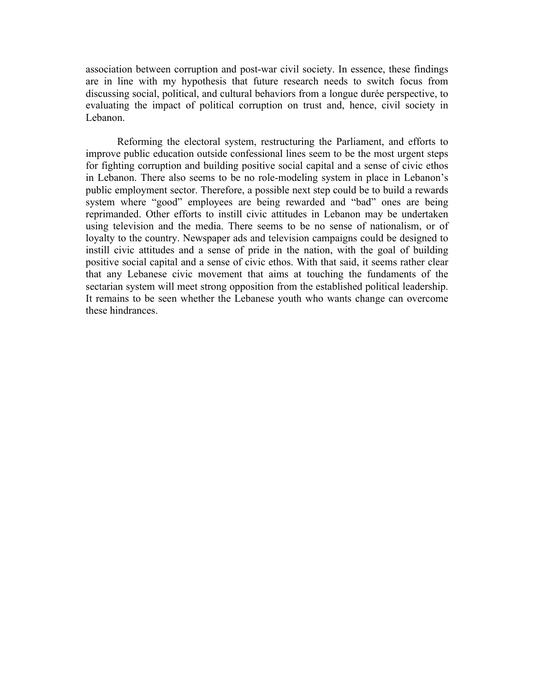association between corruption and post-war civil society. In essence, these findings are in line with my hypothesis that future research needs to switch focus from discussing social, political, and cultural behaviors from a longue durée perspective, to evaluating the impact of political corruption on trust and, hence, civil society in Lebanon.

Reforming the electoral system, restructuring the Parliament, and efforts to improve public education outside confessional lines seem to be the most urgent steps for fighting corruption and building positive social capital and a sense of civic ethos in Lebanon. There also seems to be no role-modeling system in place in Lebanon's public employment sector. Therefore, a possible next step could be to build a rewards system where "good" employees are being rewarded and "bad" ones are being reprimanded. Other efforts to instill civic attitudes in Lebanon may be undertaken using television and the media. There seems to be no sense of nationalism, or of loyalty to the country. Newspaper ads and television campaigns could be designed to instill civic attitudes and a sense of pride in the nation, with the goal of building positive social capital and a sense of civic ethos. With that said, it seems rather clear that any Lebanese civic movement that aims at touching the fundaments of the sectarian system will meet strong opposition from the established political leadership. It remains to be seen whether the Lebanese youth who wants change can overcome these hindrances.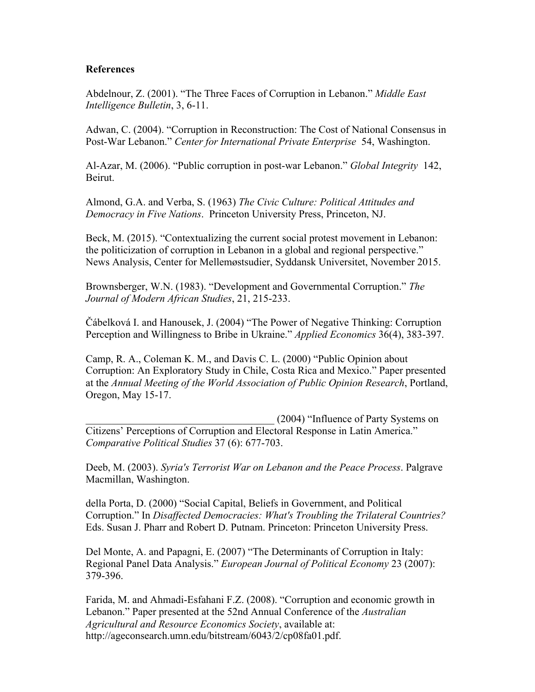# **References**

Abdelnour, Z. (2001). "The Three Faces of Corruption in Lebanon." *Middle East Intelligence Bulletin*, 3, 6-11.

Adwan, C. (2004). "Corruption in Reconstruction: The Cost of National Consensus in Post-War Lebanon." *Center for International Private Enterprise* 54, Washington.

Al-Azar, M. (2006). "Public corruption in post-war Lebanon." *Global Integrity* 142, Beirut.

Almond, G.A. and Verba, S. (1963) *The Civic Culture: Political Attitudes and Democracy in Five Nations*. Princeton University Press, Princeton, NJ.

Beck, M. (2015). "Contextualizing the current social protest movement in Lebanon: the politicization of corruption in Lebanon in a global and regional perspective." News Analysis, Center for Mellemøstsudier, Syddansk Universitet, November 2015.

Brownsberger, W.N. (1983). "Development and Governmental Corruption." *The Journal of Modern African Studies*, 21, 215-233.

Čábelková I. and Hanousek, J. (2004) "The Power of Negative Thinking: Corruption Perception and Willingness to Bribe in Ukraine." *Applied Economics* 36(4), 383-397.

Camp, R. A., Coleman K. M., and Davis C. L. (2000) "Public Opinion about Corruption: An Exploratory Study in Chile, Costa Rica and Mexico." Paper presented at the *Annual Meeting of the World Association of Public Opinion Research*, Portland, Oregon, May 15-17.

\_\_\_\_\_\_\_\_\_\_\_\_\_\_\_\_\_\_\_\_\_\_\_\_\_\_\_\_\_\_\_\_\_\_\_\_ (2004) "Influence of Party Systems on Citizens' Perceptions of Corruption and Electoral Response in Latin America." *Comparative Political Studies* 37 (6): 677-703.

Deeb, M. (2003). *Syria's Terrorist War on Lebanon and the Peace Process*. Palgrave Macmillan, Washington.

della Porta, D. (2000) "Social Capital, Beliefs in Government, and Political Corruption." In *Disaffected Democracies: What's Troubling the Trilateral Countries?* Eds. Susan J. Pharr and Robert D. Putnam. Princeton: Princeton University Press.

Del Monte, A. and Papagni, E. (2007) "The Determinants of Corruption in Italy: Regional Panel Data Analysis." *European Journal of Political Economy* 23 (2007): 379-396.

Farida, M. and Ahmadi-Esfahani F.Z. (2008). "Corruption and economic growth in Lebanon." Paper presented at the 52nd Annual Conference of the *Australian Agricultural and Resource Economics Society*, available at: http://ageconsearch.umn.edu/bitstream/6043/2/cp08fa01.pdf.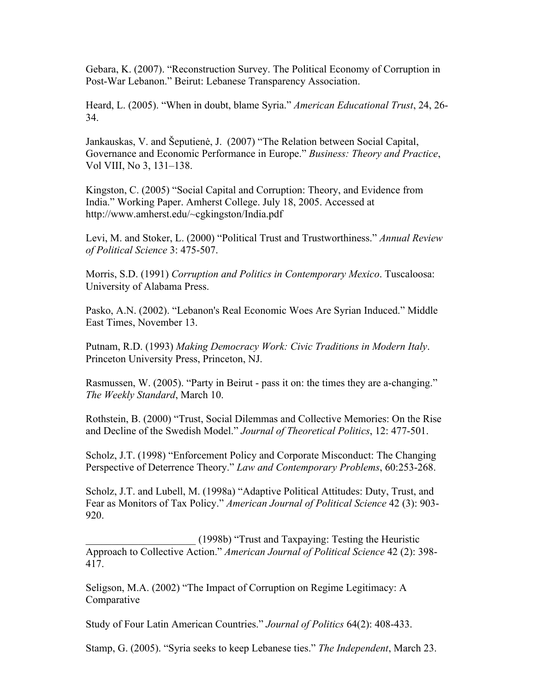Gebara, K. (2007). "Reconstruction Survey. The Political Economy of Corruption in Post-War Lebanon." Beirut: Lebanese Transparency Association.

Heard, L. (2005). "When in doubt, blame Syria." *American Educational Trust*, 24, 26- 34.

Jankauskas, V. and Šeputienė, J. (2007) "The Relation between Social Capital, Governance and Economic Performance in Europe." *Business: Theory and Practice*, Vol VIII, No 3, 131–138.

Kingston, C. (2005) "Social Capital and Corruption: Theory, and Evidence from India." Working Paper. Amherst College. July 18, 2005. Accessed at http://www.amherst.edu/~cgkingston/India.pdf

Levi, M. and Stoker, L. (2000) "Political Trust and Trustworthiness." *Annual Review of Political Science* 3: 475-507.

Morris, S.D. (1991) *Corruption and Politics in Contemporary Mexico*. Tuscaloosa: University of Alabama Press.

Pasko, A.N. (2002). "Lebanon's Real Economic Woes Are Syrian Induced." Middle East Times, November 13.

Putnam, R.D. (1993) *Making Democracy Work: Civic Traditions in Modern Italy*. Princeton University Press, Princeton, NJ.

Rasmussen, W. (2005). "Party in Beirut - pass it on: the times they are a-changing." *The Weekly Standard*, March 10.

Rothstein, B. (2000) "Trust, Social Dilemmas and Collective Memories: On the Rise and Decline of the Swedish Model." *Journal of Theoretical Politics*, 12: 477-501.

Scholz, J.T. (1998) "Enforcement Policy and Corporate Misconduct: The Changing Perspective of Deterrence Theory." *Law and Contemporary Problems*, 60:253-268.

Scholz, J.T. and Lubell, M. (1998a) "Adaptive Political Attitudes: Duty, Trust, and Fear as Monitors of Tax Policy." *American Journal of Political Science* 42 (3): 903- 920.

\_\_\_\_\_\_\_\_\_\_\_\_\_\_\_\_\_\_\_\_\_ (1998b) "Trust and Taxpaying: Testing the Heuristic Approach to Collective Action." *American Journal of Political Science* 42 (2): 398- 417.

Seligson, M.A. (2002) "The Impact of Corruption on Regime Legitimacy: A Comparative

Study of Four Latin American Countries." *Journal of Politics* 64(2): 408-433.

Stamp, G. (2005). "Syria seeks to keep Lebanese ties." *The Independent*, March 23.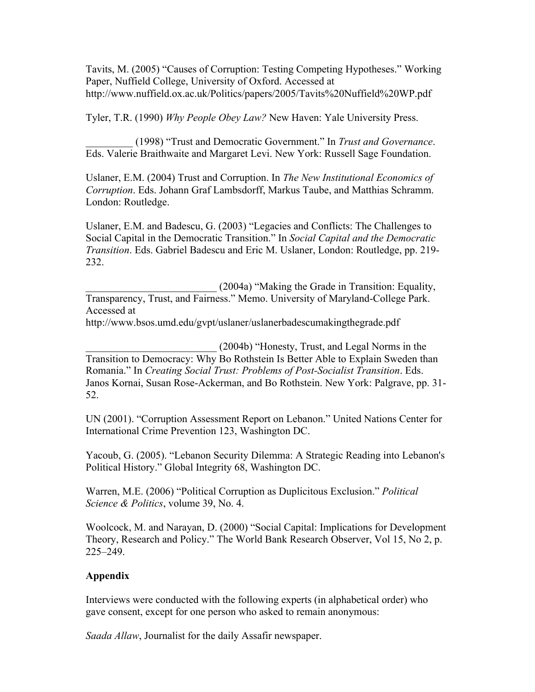Tavits, M. (2005) "Causes of Corruption: Testing Competing Hypotheses." Working Paper, Nuffield College, University of Oxford. Accessed at http://www.nuffield.ox.ac.uk/Politics/papers/2005/Tavits%20Nuffield%20WP.pdf

Tyler, T.R. (1990) *Why People Obey Law?* New Haven: Yale University Press.

\_\_\_\_\_\_\_\_\_ (1998) "Trust and Democratic Government." In *Trust and Governance*. Eds. Valerie Braithwaite and Margaret Levi. New York: Russell Sage Foundation.

Uslaner, E.M. (2004) Trust and Corruption. In *The New Institutional Economics of Corruption*. Eds. Johann Graf Lambsdorff, Markus Taube, and Matthias Schramm. London: Routledge.

Uslaner, E.M. and Badescu, G. (2003) "Legacies and Conflicts: The Challenges to Social Capital in the Democratic Transition." In *Social Capital and the Democratic Transition*. Eds. Gabriel Badescu and Eric M. Uslaner, London: Routledge, pp. 219- 232.

\_\_\_\_\_\_\_\_\_\_\_\_\_\_\_\_\_\_\_\_\_\_\_\_\_ (2004a) "Making the Grade in Transition: Equality, Transparency, Trust, and Fairness." Memo. University of Maryland-College Park. Accessed at

http://www.bsos.umd.edu/gvpt/uslaner/uslanerbadescumakingthegrade.pdf

\_\_\_\_\_\_\_\_\_\_\_\_\_\_\_\_\_\_\_\_\_\_\_\_\_ (2004b) "Honesty, Trust, and Legal Norms in the Transition to Democracy: Why Bo Rothstein Is Better Able to Explain Sweden than Romania." In *Creating Social Trust: Problems of Post-Socialist Transition*. Eds. Janos Kornai, Susan Rose-Ackerman, and Bo Rothstein. New York: Palgrave, pp. 31- 52.

UN (2001). "Corruption Assessment Report on Lebanon." United Nations Center for International Crime Prevention 123, Washington DC.

Yacoub, G. (2005). "Lebanon Security Dilemma: A Strategic Reading into Lebanon's Political History." Global Integrity 68, Washington DC.

Warren, M.E. (2006) "Political Corruption as Duplicitous Exclusion." *Political Science & Politics*, volume 39, No. 4.

Woolcock, M. and Narayan, D. (2000) "Social Capital: Implications for Development Theory, Research and Policy." The World Bank Research Observer, Vol 15, No 2, p. 225–249.

# **Appendix**

Interviews were conducted with the following experts (in alphabetical order) who gave consent, except for one person who asked to remain anonymous:

*Saada Allaw*, Journalist for the daily Assafir newspaper.